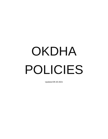# OKDHA POLICIES

Updated 09-20-2021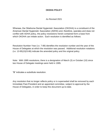## **OKDHA POLICY**

As Revised 2021

Whereas, the Oklahoma Dental Hygienists' Association (OKDHA) is a constituent of the American Dental Hygienists' Association (ADHA) and, therefore, operates and does not conflict with ADHA policy, the policy resolutions herein contained form a base from which OKDHA can initiate action. Each resolution is identified as follows:

Resolution Number-Year (i.e. 7-89) identifies the resolution number and the year of the House of Delegates at which the resolution was passed. Additional resolution notations (i.e. 13-95(10)/3-86) indicate the amended policy and the original policy.

Note: With 1995 resolutions, there is a designation of March (3) or October (10) since two House of Delegate meetings were held in 1995.

"**S**" indicates a substitute resolution.

Any resolution that no longer reflects policy or is superseded shall be removed by each Immediate Past-President and an appointed committee, subject to approval by the House of Delegates, in order to keep this document up-to-date.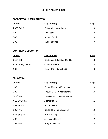# **OKDHA POLICY INDEX**

# **ASSOCIATION ADMINISTRATION**

| <b>Chrono</b> | <b>Key Word(s)</b>    | Page |
|---------------|-----------------------|------|
| 4-95(10)/2-81 | Gifts and Honorariums | 9    |
| $5 - 92$      | Legislation           | 9    |
| $7 - 92$      | <b>Annual Session</b> | 9    |
| $1 - 08$      | Dues Increase         | 9    |

## **CONTINUING EDUCATION**

| <b>Chrono</b>       | Key Word(s)                         | <b>Page</b> |
|---------------------|-------------------------------------|-------------|
| $9 - 13/4 - 83$     | <b>Continuing Education Credits</b> | 10          |
| 8-13/33-95(10)/5-94 | Course/Content                      | 10.         |
| $3 - 01$            | <b>Higher Education Credits</b>     | 10          |

## **EDUCATION**

| <b>Chrono</b>   | <b>Key Word(s)</b>                | <b>Page</b>     |
|-----------------|-----------------------------------|-----------------|
| $1 - 87$        | <b>Future Minimum Entry Level</b> | 10              |
| $6 - 89$        | <b>Faculty OKDHA Membership</b>   | 10              |
| $2 - 11/7 - 89$ | New Dental Hygiene Programs       | 11              |
| 7-12/1-01/3-91  | Accreditation                     | 11              |
| 26-95(10)/3-94  | Accreditation                     | 11              |
| $2 - 00/4 - 91$ | Dental Hygiene Education          | 12 <sup>2</sup> |
| 24-95(10)/8-92  | Preceptorship                     | 12              |
| $5 - 93$        | Associate Degree                  | 12 <sup>2</sup> |
| 1-97/2-94       | <b>Program Directors</b>          | 12 <sup>2</sup> |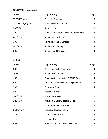| <b>Chrono</b>        | <b>Key Word(s)</b>                           | Page            |
|----------------------|----------------------------------------------|-----------------|
| 23-95(10)/3-94       | <b>Preceptor Training</b>                    | 13              |
| 10-13/34-95(10)/6-94 | Dental Hygiene Curricula                     | 13              |
| $3-95(10)$           | Recruitment                                  | 13              |
| $1 - 98$             | <b>SADHA Advisors/Association Membership</b> | 13 <sup>2</sup> |
| 4-13/13-07           | <b>Advanced Practitioner</b>                 | 13              |
| $6 - 09$             | Dental Hygiene Diagnosis                     | 13              |
| $9 - 20/9 - 19$      | <b>Student Scholarship</b>                   | 14              |
| $3 - 21$             | Diversity and Inclusion                      | 14              |
|                      |                                              |                 |

# **ETHICS**

| <b>Chrono</b>   | <b>Key Word(s)</b>                           | Page            |
|-----------------|----------------------------------------------|-----------------|
| 8-88            | <b>Compliance with State Law</b>             | 14              |
| $11 - 88$       | <b>Economic Coercion</b>                     | 14              |
| $1 - 89$        | <b>Covert Actions Involving OKDHA Policy</b> | 14              |
| $3 - 89$        | Infectious Disease/Dental Hygiene Care       | 14              |
| $2 - 90$        | <b>Equality of Care</b>                      | 14              |
| $9 - 93$        | <b>Access to Care</b>                        | 15 <sub>1</sub> |
| 2-97/10-93      | <b>Suspected Abuse</b>                       | 15              |
| $1 - 21/6 - 20$ | Inclusion, Diversity, Health Equity          | 15              |
| $7 - 20$        | Non-Discrimination in Health                 | 15              |
| $8-14/1-95(3)$  | <b>Accurate Representation</b>               | 15              |
| $7 - 14$        | <b>Truth in Advertising</b>                  | 15              |
| $1 - 15$        | Accountability                               | 15              |
| $2 - 02$        | <b>Protection of Clinical Exam Patients</b>  | 16              |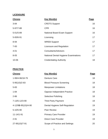## **LICENSURE**

| <b>Chrono</b>   | <b>Key Word(s)</b>                          | Page |
|-----------------|---------------------------------------------|------|
| $3 - 84$        | <b>CRDTS Support</b>                        | 16   |
| 5-97/7-88       | <b>CPR</b>                                  | 16   |
| $5 - 01/5 - 89$ | <b>National Board Exam Support</b>          | 16   |
| 5-00/6-91       | Licensing                                   | 17   |
| 8-94            | <b>WREB Support</b>                         | 17   |
| $7 - 00$        | Licensure and Regulation                    | 17   |
| $4 - 01$        | <b>Consultants/Advisors</b>                 | 17   |
| $8 - 05$        | <b>National Dental Hygiene Examinations</b> | 17   |
| 10-06           | <b>Credentialing Authority</b>              | 18   |

# **PRACTICE**

| <b>Chrono</b>       | Key Word(s)                        | <b>Page</b> |
|---------------------|------------------------------------|-------------|
| 1-99/4-96/18-79     | <b>Denture Care</b>                | 18          |
| 5-95(10)/2-83       | <b>Blood Pressure Screening</b>    | 18          |
| $5 - 83$            | <b>Manpower Limitations</b>        | 18          |
| $1 - 84$            | <b>Oppose Independent Practice</b> | 18          |
| $2 - 86$            | <b>Selective Polishing</b>         | 18          |
| 7-13/5-12/3-90      | <b>Third Party Payment</b>         | 19          |
| 4-12/9S-95(10)/4-90 | Dental Hygiene Self-Regulation     | 19          |
| $5 - 10/5 - 90$     | <b>Peer Review</b>                 | 19          |
| $11 - 14/1 - 91$    | <b>Primary Care Provider</b>       | 19          |
| $2 - 91$            | <b>Direct Care Provider</b>        | 19          |
| 27-95(10)/7-91      | Scope of Practice and Settings     | 20          |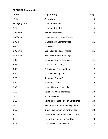| <b>Chrono</b>   | <b>Key Word(s)</b>                            | Page |
|-----------------|-----------------------------------------------|------|
| $10 - 14$       | Supervision                                   | 20   |
| 31-95(10)/4-92  | <b>Licensure Process</b>                      | 20   |
| $6 - 21$        | <b>Licensure Portability</b>                  | 20   |
| 1-96/3-93       | <b>Insurance Benefits</b>                     | 20   |
| 2-96/8-93       | <b>Prevention of Disease Transmission</b>     | 21   |
| $2 - 95(3)$     | <b>Standardized Competencies</b>              | 21   |
| $4 - 00$        | <b>Utilization</b>                            | 21   |
| 2-99/5-96       | <b>Opposition to Illegal Practice</b>         | 21   |
| $6 - 13/3 - 99$ | <b>Alternative Practice Settings</b>          | 21   |
| $1 - 03$        | <b>Extra/Intra-Oral Examinations</b>          | 21   |
| $4 - 04$        | <b>Nutritional Screening</b>                  | 22   |
| $9 - 05$        | <b>Collection of Forensic Data</b>            | 22   |
| $2 - 20$        | <b>Utilization During Crises</b>              | 22   |
| $3 - 20$        | <b>Response During Crises</b>                 | 22   |
| $5 - 09$        | <b>Workforce Models</b>                       | 22   |
| $6 - 09$        | Dental Hygiene Diagnosis                      | 22   |
| $6 - 10$        | <b>Collaborative Relationships</b>            | 23   |
| $7 - 10$        | <b>Risk Assessment</b>                        | 23   |
| $8 - 10$        | Dental Hygienists Perform Screenings          | 23   |
| $5 - 20$        | Fair Labor Standards Act/Pay with W2          | 23   |
| $3 - 15$        | <b>Direct Reimbursement for Services</b>      | 23   |
| $4 - 20$        | <b>National Provider Identification (NPI)</b> | 23   |
| $9 - 16$        | <b>Expanding Dental Hygiene Codes</b>         | 23   |
| $3 - 17$        | <b>Utilization of Technologies</b>            | 24   |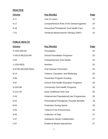# **PRACTICE**

| <b>Chrono</b> | <b>Key Word(s)</b>                         | Page |
|---------------|--------------------------------------------|------|
| $4 - 17$      | Use of Lasers                              | 24   |
| $5 - 17$      | Comprehensive Role of the Dental Hygienist | 24   |
| $9 - 18$      | Preventive/Therapeutic Oral Health Care    | 24   |
| $7 - 21$      | Orofacial Myofunctional Therapy (OMT)      | 24   |

# **PUBLIC HEALTH**

| <b>Chrono</b>          | <u>Key Word(s)</u>                                | Page |
|------------------------|---------------------------------------------------|------|
| 2-15/5-04/8-83         | Fluoridation                                      | 25   |
| 7-04/13-95(10)/3-86    | <b>School Fluoridation Programs</b>               | 25   |
| $2 - 93$               | <b>Comprehensive Oral Health</b>                  | 25   |
| $1-12/6-95(3)$         | <b>Nutrition</b>                                  | 25   |
| 4-97/35-95(10)/8-95(3) | <b>Oral Disease Prevention</b>                    | 25   |
| $9 - 14$               | <b>Tobacco Cessation and Marketing</b>            | 25   |
| $3 - 96$               | Preventive Program Funding                        | 25   |
| $3 - 97$               | <b>School Oral Health Education Programs</b>      | 26   |
| $9 - 10/3 - 98$        | <b>Community Oral Health Programs</b>             | 26   |
| $3-12/1-02$            | <b>Early Childhood Oral Care</b>                  | 26   |
| $2 - 03$               | <b>Underserved Populations/Loan Forgiveness</b>   | 26   |
| $6 - 04$               | <b>Preventative/Therapeutic Fluoride Benefits</b> | 26   |
| $8 - 04$               | <b>Protection During Sports</b>                   | 26   |
| $2 - 05$               | <b>Tobacco-Free Environment</b>                   | 26   |
| $3 - 05$               | <b>Collection of Data</b>                         | 27   |
| $1 - 07$               | <b>Substance Abuse Collaboration</b>              | 27   |
| $2 - 07$               | <b>Evidence-Based Approaches</b>                  | 27   |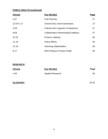| <b>Chrono</b>    | <b>Key Word(s)</b>                           | <b>Page</b> |
|------------------|----------------------------------------------|-------------|
| $4 - 07$         | <b>Oral Piercing</b>                         | 27          |
| $12 - 07/1 - 17$ | <b>School Entry Oral Examination</b>         | 27          |
| $2 - 08$         | <b>Cultural and Linguistic Competence</b>    | 27          |
| $8 - 09$         | <b>Collaborative Partnerships/Coalitions</b> | 27          |
| $10 - 10$        | <b>Product Labeling</b>                      | 28          |
| $11 - 10$        | <b>Policy Efforts</b>                        | 28          |
| $12 - 10$        | <b>Informing Stakeholders</b>                | 28          |
| $6 - 17$         | <b>BOD Ruling to Protect Public</b>          | 28          |

## **RESEARCH**

| <b>Chrono</b> | Key Word(s)             | Page |
|---------------|-------------------------|------|
| $1 - 94$      | <b>Applied Research</b> | 28   |

# **GLOSSARY** 29-33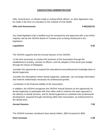# **ASSOCIATION ADMINISTRATION**

Gifts, honorariums, or tributes made to visiting ADHA officers, or other dignitaries may be made in the form of a donation to the Institute of Oral Health.

#### **Gifts and Honorariums 4-95(10)/2-81**

Any initial legislation that is drafted must be reviewed by and approved with a two-thirds majority vote by the OKDHA Board of Trustees prior to being introduced to the legislature.

## **Legislation 5-92**

The OKDHA supports that the Annual Session of the OKDHA:

-is the time necessary to conduct the business of the Association through the establishment of policy, election of officers, and the adoption of the fiscal year budget through the House of Delegates;

-provides the opportunity to expand the educational and professional knowledge base of dental hygienists;

-provides the atmosphere where dental hygienists, statewide, can exchange information and network relationships necessary for professional growth;

-contributes to the financial viability of the Association.

In addition, the OKDHA recognizes the OKDHA Annual Session as the opportunity for dental hygienists to participate with their office staff to reinforce the team approach in the delivery of dental services, and for dental hygienists to contribute their professional development, acquired through mentoring within their Association, as enhancement to the dental team.

## **Annual Session 7-92**

The OKDHA increase constituent dues twenty dollars. *(\$45 increased to \$65)*

## **Dues Increase 1-08**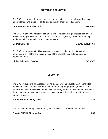# **CONTINUING EDUCATION**

The OKDHA supports the acceptance of courses in the areas of behavioral science, jurisprudence, and ethics for continuing education credit for re-licensure.

#### **Continuing Education Credits 6-130 and 2018 10:00 AM Series 10:00 AM Series 9-13/4-83**

The OKDHA advocates that licensing boards accept continuing education courses in the Dental Hygiene Process of Care: Assessment, Diagnosis, Treatment Planning, Implementation, Evaluation, and Documentation.

#### **Course/Content 8-13/33-95(10)/5-94**

The OKDHA advocates that licensing agencies accept higher education credits pertaining to any of the professional roles of the dental hygienist for continuing education credit.

#### **Higher Education Credits 3-01/5-05**

# **EDUCATION**

The OKDHA supports all aspects of formal dental hygiene education which includes certificate, associate, baccalaureate and graduate degree programs, and OKDHA declares its intent to establish the baccalaureate degree as the minimum entry level for dental hygiene practice in the future and to develop the theoretical base for dental hygiene practice.

#### **Future Minimum Entry Level 2008 1-87**

The OKDHA encourages all dental hygiene faculty to be members of OKDHA.

## **Faculty OKDHA Membership 6-89**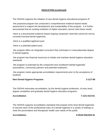The OKDHA supports the initiation of new dental hygiene educational programs IF:

-the proposed program has conducted a comprehensive evidence-based needs assessment to support the development and sustainability of the program. It is further documented that an existing institution of higher education cannot meet these needs.

-there is a documented evidence based ongoing manpower need that cannot be met by currently licensed dental hygienists.

-there is a qualified applicant pool.

-there is a potential patient pool.

-the program offers an integrated curriculum that culminates in a baccalaureate degree in dental hygiene.

-the program has financial resources to initiate and maintain dental hygiene education standards.

-the program is endorsed by the component and constituent dental hygienists' associations, community partners and potential employers.

-the program meets appropriate accreditation requirements prior to the acceptance of students.

#### **New Dental Hygiene Programs 2-11/7-89**

The OKDHA advocates accreditation, by the dental hygiene profession, of entry level, degree completion and graduate dental hygiene education programs.

#### **Accreditation 7-12/1-01/3-91**

The OKDHA supports accreditation standards that prepare entry level dental hygienists to assume each of the professional roles of a dental hygienist in a variety of settings to meet the preventative and therapeutic health care needs of the public.

**Accreditation 6-05/26-95(10)/5-91**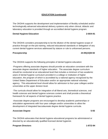The OKDHA supports the development and implementation of flexibly scheduled and/or technologically advanced educational delivery systems only when clinical, didactic and laboratory education is provided through an accredited dental hygiene program.

#### **Dental Hygiene Education 2-00/4-91**

The OKDHA considers preceptorship to be the dilution of the dental hygiene scope of practice through on-the-job training, reduced educational standards or delegation of any current dental hygiene services addressed by stature or rule to unlicensed persons.

#### **Preceptorship 24-95(10)/8-92**

The OKDHA supports the following principles of dental hygiene education:

-Programs offering associate degrees should provide an education consistent with the associate degree standards of higher education. The associate degree curriculum should be conducted at an educational level that includes a minimum of two academic years of dental hygiene curriculum provided in a college or institution of higher education, the program of which is accredited by a national agency recognized by the United States Department of Education and/or an appropriate national voluntary agency. This educational level should allow for admission to four-year colleges and/or universities at the upper division level.

-The curricula should allow for integration of all liberal arts, biomedical sciences, oral health sciences and dental hygiene sciences content and shall provide a theoretical framework for all aspects of dental hygiene practice.

-Associate degree programs are encouraged to develop academic partnerships or articulation agreements with four-year colleges and/or universities to allow the development of integrated baccalaureate degree dental hygiene curricula.

## **Associate Degree 5-93**

The OKDHA advocates that dental hygiene educational programs be administered or directed by an educationally qualified licensed dental hygienist.

## **Program Directors 1-97/2-94**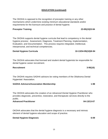The OKDHA is opposed to the recognition of preceptor training or any other mechanisms which undermine existing minimum educational standards and/or requirements for the licensure and practice of dental hygiene.

#### **Preceptor Training 23-95(10)/3-94**

The OKDHA supports dental hygiene curricula that lead to competency in the dental hygiene process: Assessment, Diagnosis, Treatment Planning, Implementation, Evaluation, and Documentation. This process requires integrated, intellectual, interpersonal, and technical competencies.

## **Dental Hygiene Curricula 10-13/34-95(10)/6-94**

The OKDHA advocates that licensed and student dental hygienists be responsible for dental hygiene career recruitment.

#### **Recruitment 3-95(10)**

The OKDHA requires SADHA advisors be voting members of the Oklahoma Dental Hygienists' Association.

**SADHA Advisors/Association Membership 1-98** 

The OKDHA advocates the creation of an *Advanced Dental Hygiene Practitioner* who provides diagnostic, preventive, restorative, and therapeutic services directly to the public.

#### **Advanced Practitioner 04-13/13-07**

OKDHA advocates that the dental hygiene diagnosis is a necessary and intrinsic element of dental hygiene education and scope of practice.

## **Dental Hygiene Diagnosis 6-09**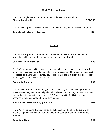The Cyndy Vogler-Henry Memorial Student Scholarship is established. **Student Scholarship 9-20/9-19** 

The OKDHA supports diversity and inclusion in dental hygiene educational programs.

**Diversity and Inclusion in Education 3-21**

# **ETHICS**

The OKDHA supports compliance of all dental personnel with those statutes and regulations which govern the delegation and supervision of services.

## **Compliance with State Law 8-88**

The OKDHA opposes all forms of economic coercion or threats of economic sanctions against businesses or individuals resulting from professional differences of opinion with respect to legislative and regulatory issues concerning the availability and accessibility of quality, cost-effective oral health care.

## **Economic Coercion 3-89**

The OKDHA believes that dental hygienists are ethically and morally responsible to provide dental hygiene care to all patients including those who may have or have been exposed to infectious diseases such as AIDS and Hepatitis B, utilizing nationally accepted infection control and barrier techniques.

## **Infectious Disease/Dental Hygiene Care 3-89**

The OKDHA maintains that treatment plan options should be offered equally to all patients regardless of economic status, third party coverage, or other remuneration methods.

# **Equality of Care** 2-90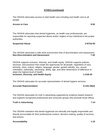# **ETHICS (continued)**

The OKDHA advocates access to total health care including oral health care to all people.

#### **Access to Care 9-93**

The OKDHA advocates that dental hygienists, as health care professionals, are responsible for reporting suspected abuse and/or neglect of any individual to the proper authorities.

#### **Suspected Abuse 2-97/10-93**

The OKDHA advocates a safe work environment free of discrimination and harassment. **Non-Discrimination and Harassment 7-20**

OKDHA supports inclusion, diversity, and health equity. OKDHA supports policies, structure, and practices that create the opportunity for all people, regardless of race, ethnicity, class, culture, religion, language, gender, gender identity, sex, sexual orientation, nationality, citizenship, ability, age, and other dimensions of difference to attain the highest level of health.

**Inclusion, Diversity, and Health Equity 1-21/6-20**

The OKDHA advocates for accurate representation of dental hygiene services.

# Accurate Representation **8-14/1-95(3)**

The OKDHA advocates for truth in advertising supported by evidence-based research and supports recognized professional and consumer groups who promote those efforts.

#### **Truth in Advertising 7-14**

The OKDHA maintains that dental hygienists are ethically and legally responsible and directly accountable for their professional conduct, decision-making, quality of services, and actions.

## Accountability **1-15**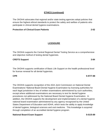# **ETHICS (continued)**

The OKDHA advocates that regional and/or state testing agencies adopt policies that ensure the highest ethical standards to protect the safety and welfare of patients who participate in clinical dental hygiene examinations.

# **Protection of Clinical Exam Patients 2-02**

# **LICENSURE**

The OKDHA supports the Central Regional Dental Testing Service as a comprehensive and objective method of testing dental hygienists.

# **CRDTS Support 3-84**

The OKDHA supports certification of Basic Life Support on the health professional level for license renewal for all dental hygienists.

# **CPR 5-97/7-88**

The OKDHA supports recognition of the ADA Joint Commission on National Dental Examinations' National Board Dental Hygiene Examination by licensing authorities for each legal jurisdiction in lieu of written examinations administered by such authorities, except where additional examinations are necessary to test for dental hygiene procedures not addressed by the National Board Dental Hygiene Examination. In addition, the OKDHA supports the development and implementation of a dental hygiene national board examination administered by any agency recognized by the United States Department of Education and ADHA, which tests the ability to apply knowledge of dental hygiene, biological sciences and oral medicine. This knowledge is acquired through completion of an accredited dental hygiene program.

# **National Board Exam Support 5-01/5-89**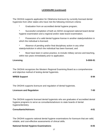## **LICENSURE (continued)**

The OKDHA supports application for Oklahoma licensure by currently licensed dental hygienists from other states who have met the following minimum criteria:

\* Graduation from an accredited dental hygiene program;

Successful completion of both an ADHA recognized national board dental hygiene examination and a regional and/or state board examination;

\* Possession of a valid dental hygiene license in another state/jurisdiction in which the individual is licensed;

Absence of pending and/or final disciplinary action in any other state/jurisdiction in which the individual has been licensed, and

Must have been in active practice, to include military service and teaching, within two years immediately prior to application.

#### **Licensing 5-00/6-91**

The OKDHA recognizes the Western Regional Examining Board as a comprehensive and objective method of testing dental hygienists.

#### **WREB Support 8-94**

The OKDHA supports licensure and regulation of dental hygienists.

| <b>Licensure and Regulation</b> | 7-00 |
|---------------------------------|------|
|---------------------------------|------|

The OKDHA supports licensed dental hygienists who are graduates of accredited dental hygiene programs to serve as consultants/advisors to state boards of dental hygiene/dentistry.

#### **Consultants/Advisors 4-01**

The OKDHA supports national dental hygiene examinations for licensure that are valid, reliable, and cost-effective assessments of clinical skills.

#### **National Dental Hygiene Examinations 8-05**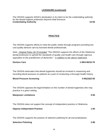#### 18

#### **LICENSURE (continued)**

The OKDHA supports ADHA's declaration in its intent to be the credentialing authority for the dental hygiene profession beyond initial licensure. **Credentialing Authority 10-06**

## **PRACTICE**

The OKDHA supports efforts to meet the public needs through programs providing low cost quality denture care by licensed dental professionals.

*Note: Original Policy 18-79 included "The OKDHA supports the efforts of the Oklahoma dental profession to uphold the standards of quality oral health care through vigorous opposition to the practitioners of denturism." in addition to the above statement.*

#### **Denture Care 1-99/4-96/18-79**

The OKDHA advocates that dental hygienists should be involved in measuring and recording blood pressure on patients as a part of conducting a thorough health history.

#### **Blood Pressure Screening 5-95(10)/2-83**

The OKDHA opposes the legal limitation on the number of dental hygienists who may practice in a given setting.

#### **Manpower Limitations 5-83**

The OKDHA does not support the concept of independent practice in Oklahoma.

**Oppose Independent Practice 1-84** 

The OKDHA supports the practice of selective polishing for all oral prophylaxes.

#### **Selective Polishing 2-86**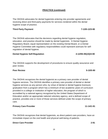The OKDHA advocates for dental hygienists entering into provider agreements and receiving direct and third-party payments for services rendered within the dental hygiene scope of practice.

## **Third Party Payment 7-13/5-12/3-90**

The OKDHA advocates that the decisions regarding dental hygiene regulation, education, and practice should be made by dental hygienists. A Dental Hygiene Regulatory Board, equal representation on the existing Dental Board, or a Dental Hygiene Committee with regulatory responsibilities could represent avenues for selfregulation of dental hygiene.

## **Dental Hygiene Self-Regulation**  $4-12/9S-95(10)/4-90$

The OKDHA supports the development of procedures to ensure quality assurance and peer review.

## **Peer Review 5-10/5-90**

The OKDHA recognizes the dental hygienist as a primary care provider of dental hygiene services. The OKDHA identifies a primary care provider of dental or dental hygiene services as any person who, by virtue of dental or dental hygiene licensure, graduation from a program which has a minimum of two academic years of curriculum provided in a college or institution of higher education, the program of which is accredited by a national agency recognized by the United States Department of Education and/or an appropriate national voluntary agency, and a defined scope of practice, provides one or more of those services defined under the scope of primary care.

## **Primary Care Provider 11-14/1-91**

The OKDHA recognizes that dental hygienists, as direct patient care providers, have an immediate impact on the oral health and physical well-being of patients.

## **Direct Care Provider 2-91**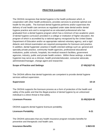The OKDHA recognizes that dental hygiene is the health profession which, in cooperation with other health professions, provides services to promote optimal oral health for the public. The licensed dental hygienist performs and/or supervises the delivery of oral health care services as regulated under state dental and/or dental hygiene practice acts and is recognized as an educated professional who has graduated from a dental hygiene program which has a minimum of two academic years of dental hygiene curriculum provided in a college or institution of higher education, the program of which is accredited by a national agency recognized by the United States Department of Education and/or an appropriate national voluntary agency, and a rigid didactic and clinical examination are required prerequisites for licensure and practice. In addition, dental hygienists' practice in health-oriented settings such as: general and specialty private practice, community health agencies, professional educational institutions, public schools, hospitals, bio-medical research facilities, government agencies, industry, public and private health centers. Within these settings, a dental hygienist may serve as a clinician, health promoter/educator, consumer advocate, administrator/manager, change agent and researcher.

#### **Scope of Practice and Settings 27-95(10)/7-91**

The OKDHA affirms that dental hygienists are competent to provide dental hygiene services without supervision.

#### **Supervision 10-14**

The OKDHA supports the licensure process as a form of protection of the health and safety of the public and that the illegal practice of dental hygiene by an unlicensed individual is a direct threat to that safety.

#### **Licensure Process 31-95(10)/4-92**

OKDHA supports dental hygiene licensure portability.

## **Licensure Portability 6-21**

The OKDHA advocates that any health insurance program includes benefits for preventive and therapeutic oral health care.

#### **Insurance Benefits** 1-96/3-93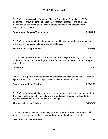The OKDHA advocates the Center for Disease Control and Prevention's (CDC) guidelines for preventing the transmission of infectious diseases, and advocates maximum worksite safety and training to protect the health and safety of both practitioner and patient.

#### **Prevention of Disease Transmission 2-96/8-93**

The OKDHA advocates that state regulated dental hygiene procedures be evaluated and/or performed utilizing standardized competencies.

## **Standardized Competencies 2-95(3)**

The OKDHA advocates that the services of the dental hygienist be fully utilized in all public and private practice settings to most effectively deliver preventive and therapeutic oral health care.

## **Utilization 4-00**

The OKDHA supports efforts to uphold the standards of quality oral health care through vigorous opposition to the illegal practice of dentistry and dental hygiene.

## **Opposition to Illegal Practice 2-99/5-96**

The OKDHA advocates that dental hygiene and/or dental practice acts be amended so that the services of dental hygienists who are graduates from an accredited dental hygiene program can be fully utilized in all settings.

## Alternative Practice Settings **6-13/3-99**

The OKDHA endorses that a dental hygienist perform and extra/intra-oral examination as an integral component of every comprehensive oral health assessment.

## **Extra/Intra-Oral Examinations 1-03**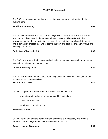The OKDHA advocates a nutritional screening as a component of routine dental hygiene care.

#### **Nutritional Screening 4-04**

The OKDHA advocates the use of dental hygienists in natural disasters and acts of terrorism to collect forensic data that can identify victims. The OKDHA further advocates that the dental hygienist has the skills to contribute significantly to charting and examination procedures, and to control the flow and security of administrative and investigative records.

#### **Collection of Forensic Data 9-05**

The OKDHA supports the inclusion and utilization of *dental hygienists* in response to local, state, national, and global crises.

| <b>Utilization during Crises</b> | 2-20 |
|----------------------------------|------|
|                                  |      |

The OKDHA Association advocates dental hygienists be included in local, state, and national crisis response policies.

#### **Response to Crises 3-20**

OKDHA supports oral health workforce models that culminate in:

-graduation with a degree from an accredited institution

-professional licensure

-direct access to patient care

## **Workforce Models 5-09**

OKDHA advocates that the dental hygiene diagnosis is a necessary and intrinsic element of dental hygiene education and scope of practice.

## **Dental Hygiene Diagnosis** 6-09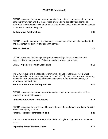OKDHA advocates that dental hygiene practice is an integral component of the health care delivery system and that the services provided by a dental hygienist may be performed in collaboration with other health care professionals within the overall context of the health needs of the patient.

#### **Collaborative Relationships 6-10 6-10**

OKDHA supports comprehensive risk-based assessment of the patient's needs prior to and throughout the delivery of oral health services.

#### **Risk Assessment 7-10**

OKDHA advocates dental hygienists perform screenings for the prevention and interdisciplinary management of diseases and associated risk factors.

#### **Dental Hygienists Perform Screenings 8-10**

The OKDHA supports the federal government's Fair Labor Standards Act in which dental hygienists must, as employees, be issued a W2 by their permanent or temporary employers with appropriate government withholdings made from their wages, as appropriate to this statute.

#### **Fair Labor Standards Act/Pay with W2 5-20**

OKDHA advocates that dental hygienists receive direct reimbursement for services rendered in treatment facilities.

# **Direct Reimbursement for Services 3-15**

OKDHA advocates for every dental hygienist to apply for and obtain a National Provider Identification (NPI) number.

#### **National Provider Identification (NPI) 4-20**

The OKDHA advocates for the expansion of dental hygiene diagnostic and procedure codes.

## **Expanding Dental Hygiene Codes** 8-16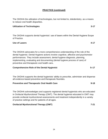The OKDHA supports dental hygienists' use of lasers within the Dental Hygiene Scope

The OKDHA advocates for a more comprehensive understanding of the role of the dental hygienist. Dental Hygiene actions involve cognitive, affective and psychomotor performances. They include assessment, dental hygiene diagnosis, planning, implementing, evaluating and documenting (dental hygiene process of care) of preventive and therapeutic oral health care**.** 

#### **Comprehensive Role of the Dental Hygienist 5–17**

to reduce oral health disparities.

of Practice.

The OKDHA supports the dental hygienists' ability to prescribe, administer and dispense all evidence-based preventive and therapeutic fluorides.

#### **Preventive and Therapeutic Oral Health Care 19-18 9-18**

The OKDHA acknowledges and supports registered dental hygienists who are educated in Orofacial Myofunctional Therapy (OMT). The dental hygienist educated in OMT may provide orofacial myofunctional assessments and treatment independently in a variety of practice settings and for patients of all ages.

#### **Orofacial Myofunctional Therapy (OMT) 7-21**

#### **PRACTICE (continued)**

The OKDHA the utilization of technologies, but not limited to, teledentistry, as a means

**Utilization of Technologies 3-17**

**Use of Lasers 4-17**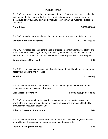# **PUBLIC HEALTH**

The OKDHA supports water fluoridation as a safe and effective method for reducing the incidence of dental caries and advocates for education regarding the preventive and therapeutic benefits, safety, cost, and effectiveness of community water fluoridation in Oklahoma.

#### **Fluoridation 2-15/5-04/8-83**

The OKDHA endorses school-based fluoride programs for prevention of dental caries.

## **School Fluoridation Programs 7-04/13-95(10)/3-86**

The OKDHA recognizes the priority needs of children, pregnant women, the elderly and persons who are physically, mentally or medically compromised, and advocates the inclusion of comprehensive oral health services in the design of health care programs.

#### **Comprehensive Oral Health 2-93**

The OKDHA advocates nutritional guidelines that promote total health and encourages healthy eating habits and wellness.

#### **Nutrition 1-12/6-95(3)**

The OKDHA advocates evidence-based oral health management strategies for the prevention of oral and systemic diseases.

## **Oral Disease Prevention 4-97/35-95(10)/8-95(3)/1-05**

The OKDHA advocates for a tobacco-free environment and supports laws which prohibit the marketing and distribution of nicotine delivery and promotional look-alike products that encourage tobacco use.

## **Tobacco Cessation & Marketing 6-14 and 2008 120 and 2008 120 and 2008 120 and 2008 120 and 2008 120 and 2008 120 and 2008 120 and 2008 120 and 2008 120 and 2008 120 and 2008 120 and 2008 120 and 2008 120 and 2008 120 and**

The OKDHA advocates increased allocation of funds for preventive programs designed to provide health services to underserved sectors of the population.

## **Preventive Program Funding 3-96**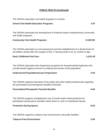The OKDHA advocates oral health programs in schools.

#### **School Oral Health Education Programs 3-97**

The OKDHA advocates the development of evidence based comprehensive community oral health programs.

#### **Community Oral Health Programs 6-10/3-98**

The OKDHA advocates an oral assessment and the establishment of a dental home for all children shortly after the eruption of the 1<sup>st</sup> primary tooth or by 12 months of age.

#### **Early Childhood Oral Care 3-12/1-02**

The OKDHA advocates loan forgiveness programs for licensed dental hygienists who provide dental hygiene services to underserved sectors of the population.

#### **Underserved Populations/Loan Forgiveness 2-03**

The OKDHA supports education of the public and other health professionals regarding the preventative and therapeutic benefits of fluoride.

# **Preventative/Therapeutic Fluoride Benefits 6-04**

The OKDHA supports mandating the use of mouth and/or head protection for participants during sports activities where there is a risk of craniofacial injuries.

| <b>Protection During Sports</b> | $8 - 04$ |
|---------------------------------|----------|
|---------------------------------|----------|

The OKDHA supports a tobacco-free environment in all public facilities.

#### **Tobacco-Free Environment 2-05**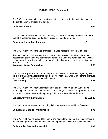The OKDHA advocates the systematic collection of data by dental hygienists to aid in the identification of children and adults.

#### **Collection of Data 3-05**

The OKDHA advocates collaboration with organizations to identify, promote and utilize available substance abuse and addiction resources and programs.

#### **Substance Abuse Collaboration 1-07**

The OKDHA advocates the use of evidence-based approaches such as fluoride

therapies, pit and fissure sealants and other evidence-based modalities in the risk assessment, prevention and treatment of demineralization and dental caries as well as education of the public and other health professionals regarding these preventive and therapeutic benefits.

#### **Evidence –Based Approaches 2-07**

The OKDHA supports education of the public and health professionals regarding health risks of extra and intra oral piercing and oral modification as well as supporting licensure and regulation of body-piercing establishments. **Oral Piercing 4-07**

The OKDHA advocates for a comprehensive oral assessment and evaluation by a dental hygienist or a mid-level oral health practitioner, with referral for appropriate follow up care for students entering into primary, middle, and secondary education.

## **School Entry Oral Examination 12-07/1-17**

The OKDHA advocates cultural and linguistic competence for health professionals.

# **Cultural and Linguistic Competence 2-08**

The OKDHA affirms its support for optimal oral health for all people and is committed to collaborative partnerships and coalitions that improve access to oral health services.

## **Collaborative Partnerships/Coalitions 8-09**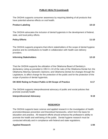The OKDHA supports consumer awareness by requiring labeling of all products that have potential adverse effects on oral health.

## **Product Labeling 10-10**

The OKDHA advocates the inclusion of dental hygienists in the development of federal, state, and local policy efforts.

## **Policy Efforts 11-10**

The OKDHA supports programs that inform stakeholders of the scope of dental hygiene practice and its contributions to health in collaboration with health care delivery providers.

## **Informing Stakeholders 12-10**

That the OKDHA supports the utilization of the Oklahoma Board of Dentistry's declaratory ruling as provided in 195:3-1-10 of the rules of the Oklahoma Dental Act; the Oklahoma Attorney General's Opinions; and Oklahoma Dental Act changes through the Legislature, to affect change for the protection of the public and for the protection of the scope of practice of dental hygienists.

| OK BOD Ruling to Protect Public & DH Scope of Practice | $6 - 17$ |
|--------------------------------------------------------|----------|
|                                                        |          |

The OKDHA supports interprofessional advocacy of public and social policies that promote (overall) health

## **Interprofessional Advocacy 9-19**

# **RESEARCH**

The OKDHA supports basic science and applied research in the investigation of health promotion/disease prevention and theoretical frameworks, which form the basis for education and practice. All research efforts should enhance the profession's ability to promote the health and well-being of the public. Dental hygiene research must be conducted ethically and in compliance with federal and state regulations.

## **Applied Research 1-94**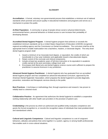#### **GLOSSARY**

**Accreditation:** A formal, voluntary non-governmental process that establishes a minimum set of national standards which promote and assure quality in educational institutions and programs and serves as a mechanism to protect the public.

**At-Risk Population:** A community or group of people whose social or physical determinants, environmental factors, personal behaviors or limited access to care increase their probability of developing disease.

**Accredited Dental Hygiene Program:** A dental hygiene program that achieves or exceeds the established minimum standards set by a United States Department of Education (USDOE) recognized regional accrediting agency and the Commission on Dental Accreditation. The curriculum shall be at the appropriate level to enable matriculation into a bachelors, masters, or doctorate degree. The entry-level dental hygiene program shall:

- 1. Award a minimum of an Associate level degree, or equivalent, the credits of which are transferable to a four-year institution and applicable toward a baccalaureate degree;
- 2. Retain control of the curricular and clinical components;
- 3. Include at least two academic years of full-time instruction or its equivalent in academic credits earned at the post-secondary college level; and
- 4. Encompass both liberal arts and dental hygiene science course work sufficient to prepare the practitioner to assume licensure in any jurisdiction.

**Advanced Dental Hygiene Practitioner:** A dental hygienist who has graduated from an accredited dental hygiene program and has completed an advanced educational curriculum, approved by the American Dental Hygienists' Association, which prepares the dental hygienist to provide diagnostic, preventive, restorative and therapeutic services directly to the public.

**Best Practices:** A technique or methodology that, through experience and research, has proven to reliably lead to a desired result.

**Collaborative Practice:** An agreement that authorizes the dental hygienist to establish a cooperative working relationship with other health care providers in the provision of patient care.

**Credentialing** is the process by which an authorized and qualified entity evaluates competence and grants the formal recognition to, or records the recognition status of individuals that meet predetermined and standardized criteria.

**Cultural and Linguistic Competence:** Cultural and linguistic competence is a set of congruent behaviors, attitudes and policies that come together in a system, agency or among health professionals that enables work in cross-cultural situations.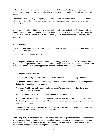'Culture' refers to integrated patterns of human behavior that include the language, thoughts, communications, actions, customs, beliefs, values, and institutions of racial, ethnic, religious, or social groups.

'Competence' implies having the capacity to function effectively as an individual and an organization within the context of the cultural beliefs, behaviors, and needs presented by consumers and their communities.

**Dental Home:** A relationship between a person and a specific team of health professionals led by a licensed dental provider. The dental home is an ongoing partnership that coordinates comprehensive, accessible and culturally sensitive care through delivery of oral health services as part of integrated health care.

#### **Dental Hygiene:**

\*The science and practice of the recognition, treatment, and prevention of oral diseases and an integral component of total health.

\*The profession of the dental hygienist.

**Dental Hygiene Diagnosis**: The identification by a dental hygienist of a patient's oral conditions which may be treated by procedures within the dental hygiene scope of practice. This includes the identification of those oral conditions which are appropriate for referral to other healthcare professionals.

#### **Dental Hygiene Process of Care**

**Assessment:** The systematic collection and analysis of data in order to identify client needs.

**Diagnosis**: The identification of client strengths and weaknesses in relation to oral health problems that *dental hygiene* intervention can improve.

**Planning**: Establishing realistic goals, selecting *dental hygiene* interventions in order to move the client closer to optimal oral health.

**Implementation**: The act of carrying out the *dental hygiene* plan of care.

**Evaluation**: The measurement of the extent to which the client has achieved the goals specified in the dental hygiene care plan. The dental hygienist uses evidence-based decisions, reassessments, and subsequent diagnoses.

**Documentation**: The complete and accurate recording of the patient's information and interactions assessment data, treatment and treatment outcomes.

**Dental Hygienist:** A primary care oral health professional who has graduated from an accredited dental hygiene program in an institution of higher education, licensed in dental hygiene to provide education, assessment, research, administrative, diagnostic, preventative and therapeutic services that support overall health through the promotion of optimal oral health.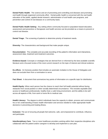**Dental Public Health:** The science and art of preventing and controlling oral diseases and promoting oral health through organized community effort. Dental public health is concerned with the oral health education of the public, applied dental research, administration of oral health care programs, and prevention and control of oral disease on a community basis.

**Dental Public Health Setting:** Any setting where community-focused or population-based education, assessment and preventive or therapeutic oral health services can be provided as a means to prevent or control oral disease.

**Dental Triage:** The screening of patients to determine priority of treatment needs.

**Diversity:** The characteristics and background that make people unique.

**Documentation**: The complete and accurate recording of the patient's information and interactions, assessment data, treatment and treatment outcomes.

**Evidence-based:** Concepts or strategies that are derived from or informed by the best available scientific literature and a focused review of the most current research on the topic of interest and clinical evidence.

**Ex-officio:** An honorary position that includes an automatic invitation to the House of Delegates and does not exclude them from a nomination to serve.

**Fact Sheet:** A document that summarizes key points of information on a specific topic for distribution.

**Health Equity:** When each person has the chance to reach their full health potential without facing obstacles from social position or other socially determined circumstance. This includes equitable (fair) access to healthcare professionals, healthy food, a safe living environment, and the ability to be well across all aspects of life, from work to home life to medical care.

**Health Literacy:** The degree to which individuals have the capacity to obtain, process and communicate his or her understanding of basic health information and services needed to make appropriate health decisions in preventing and treating illness.

**Inclusion:** The act of ensuring all people feel welcome, safe, and empowered to contribute, influence, and participate.

**Interdisciplinary Care:** Two or more healthcare providers working within their respective disciplines who collaborate with the patient and/or caregiver to develop and implement a care plan.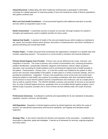**Interprofessional-** Collaborating with other healthcare professionals to participate in information exchange for a global approach to improving quality of care and meeting the needs of diverse populations with patient-centered care.

**Mid-Level Oral Health Practitioner:** A licensed dental hygienist with additional education to provide services within an expanded scope of care**.**

**Needs Assessment:** A systematic process to acquire an accurate, thorough analysis of a system's strengths and weaknesses used to establish priorities for future action.

**Optimal Oral Health:** A standard of health of the oral and related tissues which enables an individual to eat, speak, and socialize without active disease, discomfort or embarrassment, and which contributes to general well-being and overall total health.

**Position Paper:** A written document that summarizes the organization's viewpoint on a specific topic that includes supporting research. The purpose is to communicate to members and external audiences.

**Primary Dental Hygiene Care Provider:** Primary Care can be defined by the scope, character, and integration of services. The scope of primary care consists of preventative care, screening procedures, problem identification, symptomatic treatment, diagnosis and treatment, referral, follow-up patient education, and counseling for health problems and for promoting the highest level of health possible to the patient. Characteristics: Primary Care  $-1$ ) is the first contact care initiated by the patient or other person who assumes responsibility of the patient, 2) takes place in a variety of practice settings, and 3) is provided by practitioners. Integration: Primary Care practitioners serve as the entry and control point linking the patient to total health care systems by providing coordination with other specialized health or social services to insure that the patient receives comprehensive and continuous care at a single point in time as well as a period of time. The OKDHA identifies a primary care provider of services as any person who, by virtue of dental hygiene licensure, graduation from an accredited dental hygiene program, and a defined scope of practice, provides one or more of these services defined under the scope of primary care.

**Professional Autonomy:** A profession's authority and responsibility for its own standards of education, regulation, practice, licensure, and discipline.

**Self-Regulation:** Regulation of dental hygiene practice by dental hygienists who define the scope of practice, set educational requirements and licensure standards, and regulate and discipline dental hygienists.

**Strategic Plan:** A tool used to describe the direction and operation of the association. It establishes the association's objectives, goals and strategies. It serves as a framework for services, ongoing programs and action plans.